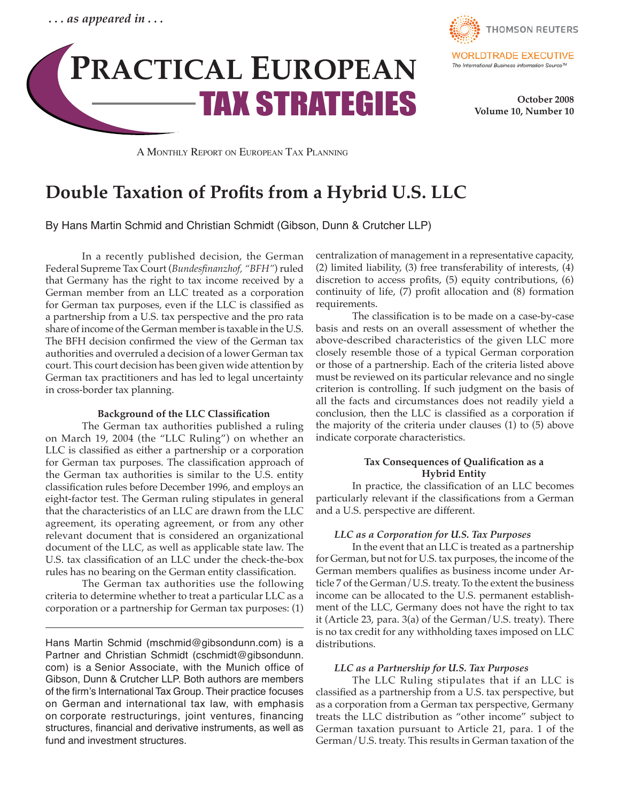



 **October 2008 Volume 10, Number 10**

A Monthly Report on European Tax Planning

# **Double Taxation of Profits from a Hybrid U.S. LLC**

By Hans Martin Schmid and Christian Schmidt (Gibson, Dunn & Crutcher LLP)

 In a recently published decision, the German Federal Supreme Tax Court (*Bundesfinanzhof, "BFH"*) ruled that Germany has the right to tax income received by a German member from an LLC treated as a corporation for German tax purposes, even if the LLC is classified as a partnership from a U.S. tax perspective and the pro rata share of income of the German member is taxable in the U.S. The BFH decision confirmed the view of the German tax authorities and overruled a decision of a lower German tax court. This court decision has been given wide attention by German tax practitioners and has led to legal uncertainty in cross-border tax planning.

### **Background of the LLC Classification**

 The German tax authorities published a ruling on March 19, 2004 (the "LLC Ruling") on whether an LLC is classified as either a partnership or a corporation for German tax purposes. The classification approach of the German tax authorities is similar to the U.S. entity classification rules before December 1996, and employs an eight-factor test. The German ruling stipulates in general that the characteristics of an LLC are drawn from the LLC agreement, its operating agreement, or from any other relevant document that is considered an organizational document of the LLC, as well as applicable state law. The U.S. tax classification of an LLC under the check-the-box rules has no bearing on the German entity classification.

The German tax authorities use the following criteria to determine whether to treat a particular LLC as a corporation or a partnership for German tax purposes: (1)

Hans Martin Schmid (mschmid@gibsondunn.com) is a Partner and Christian Schmidt (cschmidt@gibsondunn. com) is a Senior Associate, with the Munich office of Gibson, Dunn & Crutcher LLP. Both authors are members of the firm's International Tax Group. Their practice focuses on German and international tax law, with emphasis on corporate restructurings, joint ventures, financing structures, financial and derivative instruments, as well as fund and investment structures.

centralization of management in a representative capacity, (2) limited liability, (3) free transferability of interests, (4) discretion to access profits, (5) equity contributions, (6) continuity of life,  $(7)$  profit allocation and  $(8)$  formation requirements.

The classification is to be made on a case-by-case basis and rests on an overall assessment of whether the above-described characteristics of the given LLC more closely resemble those of a typical German corporation or those of a partnership. Each of the criteria listed above must be reviewed on its particular relevance and no single criterion is controlling. If such judgment on the basis of all the facts and circumstances does not readily yield a conclusion, then the LLC is classified as a corporation if the majority of the criteria under clauses (1) to (5) above indicate corporate characteristics.

### **Tax Consequences of Qualification as a Hybrid Entity**

In practice, the classification of an LLC becomes particularly relevant if the classifications from a German and a U.S. perspective are different.

### *LLC as a Corporation for U.S. Tax Purposes*

 In the event that an LLC is treated as a partnership for German, but not for U.S. tax purposes, the income of the German members qualifies as business income under Article 7 of the German/U.S. treaty. To the extent the business income can be allocated to the U.S. permanent establishment of the LLC, Germany does not have the right to tax it (Article 23, para. 3(a) of the German/U.S. treaty). There is no tax credit for any withholding taxes imposed on LLC distributions.

### *LLC as a Partnership for U.S. Tax Purposes*

 The LLC Ruling stipulates that if an LLC is classified as a partnership from a U.S. tax perspective, but as a corporation from a German tax perspective, Germany treats the LLC distribution as "other income" subject to German taxation pursuant to Article 21, para. 1 of the German/U.S. treaty. This results in German taxation of the